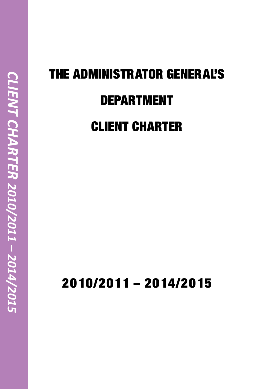# THE ADMINISTRATOR GENERAL'S DEPARTMENT CLIENT CHARTER

2010/2011 – 2014/2015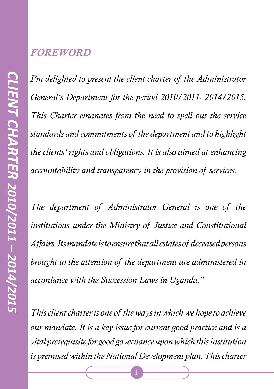#### *FOREWORD*

*I'm delighted to present the client charter of the Administrator General's Department for the period 2010/2011- 2014/2015. This Charter emanates from the need to spell out the service standards and commitments of the department and to highlight the clients' rights and obligations. It is also aimed at enhancing accountability and transparency in the provision of services.* 

*The department of Administrator General is one of the institutions under the Ministry of Justice and Constitutional Affairs. Its mandate is to ensure that all estates of deceased persons brought to the attention of the department are administered in accordance with the Succession Laws in Uganda."*

*This client charter is one of the ways in which we hope to achieve our mandate. It is a key issue for current good practice and is a vital prerequisite for good governance upon which this institution is premised within the National Development plan. This charter*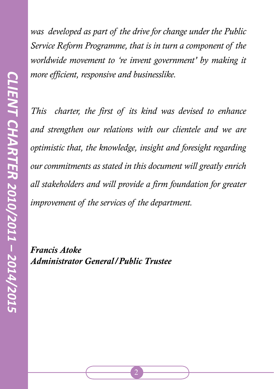*was developed as part of the drive for change under the Public Service Reform Programme, that is in turn a component of the worldwide movement to 're invent government' by making it more efficient, responsive and businesslike.*

*This charter, the first of its kind was devised to enhance and strengthen our relations with our clientele and we are optimistic that, the knowledge, insight and foresight regarding our commitments as stated in this document will greatly enrich all stakeholders and will provide a firm foundation for greater improvement of the services of the department.* 

*Francis Atoke Administrator General/Public Trustee*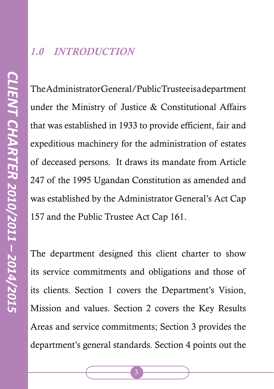#### *1.0 INTRODUCTION*

The Administrator General/Public Trustee is a department under the Ministry of Justice & Constitutional Affairs that was established in 1933 to provide efficient, fair and expeditious machinery for the administration of estates of deceased persons. It draws its mandate from Article 247 of the 1995 Ugandan Constitution as amended and was established by the Administrator General's Act Cap 157 and the Public Trustee Act Cap 161.

The department designed this client charter to show its service commitments and obligations and those of its clients. Section 1 covers the Department's Vision, Mission and values. Section 2 covers the Key Results Areas and service commitments; Section 3 provides the department's general standards. Section 4 points out the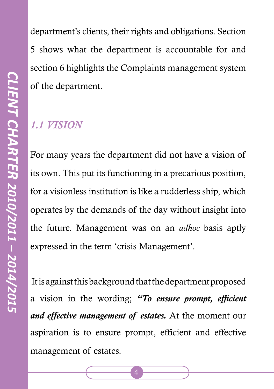department's clients, their rights and obligations. Section 5 shows what the department is accountable for and section 6 highlights the Complaints management system of the department.

## *1.1 VISION*

For many years the department did not have a vision of its own. This put its functioning in a precarious position, for a visionless institution is like a rudderless ship, which operates by the demands of the day without insight into the future. Management was on an *adhoc* basis aptly expressed in the term 'crisis Management'.

 It is against this background that the department proposed a vision in the wording; *"To ensure prompt, efficient and effective management of estates.* At the moment our aspiration is to ensure prompt, efficient and effective management of estates.

 $\overline{\mathcal{A}}$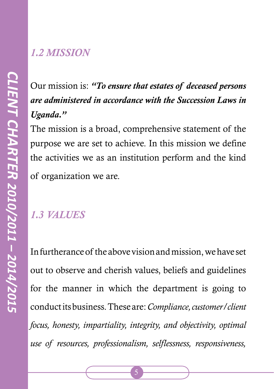#### *1.2 MISSION*

# Our mission is: *"To ensure that estates of deceased persons are administered in accordance with the Succession Laws in Uganda."*

The mission is a broad, comprehensive statement of the purpose we are set to achieve. In this mission we define the activities we as an institution perform and the kind of organization we are.

# *1.3 VALUES*

In furtherance of the above vision and mission, we have set out to observe and cherish values, beliefs and guidelines for the manner in which the department is going to conduct its business. These are: *Compliance, customer/client focus, honesty, impartiality, integrity, and objectivity, optimal use of resources, professionalism, selflessness, responsiveness,*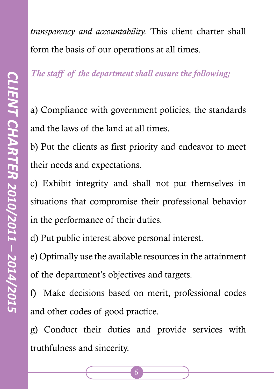*transparency and accountability.* This client charter shall form the basis of our operations at all times.

*The staff of the department shall ensure the following;*

a) Compliance with government policies, the standards and the laws of the land at all times.

b) Put the clients as first priority and endeavor to meet their needs and expectations.

c) Exhibit integrity and shall not put themselves in situations that compromise their professional behavior in the performance of their duties.

d) Put public interest above personal interest.

e) Optimally use the available resources in the attainment of the department's objectives and targets.

f) Make decisions based on merit, professional codes and other codes of good practice.

g) Conduct their duties and provide services with truthfulness and sincerity.

6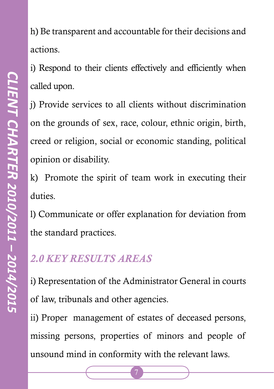h) Be transparent and accountable for their decisions and actions.

i) Respond to their clients effectively and efficiently when called upon.

j) Provide services to all clients without discrimination on the grounds of sex, race, colour, ethnic origin, birth, creed or religion, social or economic standing, political opinion or disability.

k) Promote the spirit of team work in executing their duties.

l) Communicate or offer explanation for deviation from the standard practices.

# *2.0 KEY RESULTS AREAS*

i) Representation of the Administrator General in courts of law, tribunals and other agencies.

ii) Proper management of estates of deceased persons, missing persons, properties of minors and people of unsound mind in conformity with the relevant laws.

 $\overline{7}$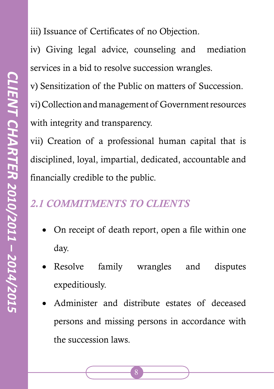iii) Issuance of Certificates of no Objection.

iv) Giving legal advice, counseling and mediation services in a bid to resolve succession wrangles.

v) Sensitization of the Public on matters of Succession. vi) Collection and management of Government resources with integrity and transparency.

vii) Creation of a professional human capital that is disciplined, loyal, impartial, dedicated, accountable and financially credible to the public.

#### *2.1 COMMITMENTS TO CLIENTS*

- On receipt of death report, open a file within one day.
- Resolve family wrangles and disputes expeditiously.
- Administer and distribute estates of deceased persons and missing persons in accordance with the succession laws.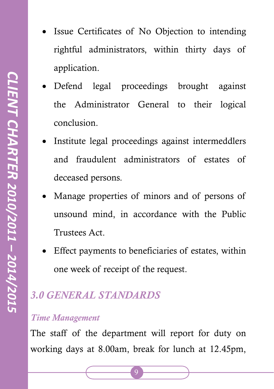- Issue Certificates of No Objection to intending rightful administrators, within thirty days of application.
- Defend legal proceedings brought against the Administrator General to their logical conclusion.
- Institute legal proceedings against intermeddlers and fraudulent administrators of estates of deceased persons.
- Manage properties of minors and of persons of unsound mind, in accordance with the Public Trustees Act.
- Effect payments to beneficiaries of estates, within one week of receipt of the request.

## *3.0 GENERAL STANDARDS*

#### *Time Management*

The staff of the department will report for duty on working days at 8.00am, break for lunch at 12.45pm,

9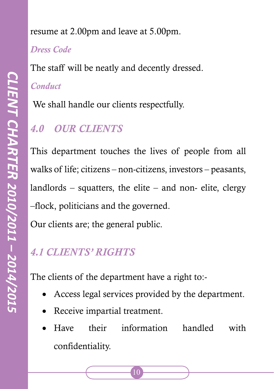#### *Dress Code*

The staff will be neatly and decently dressed.

### *Conduct*

We shall handle our clients respectfully.

# *4.0 OUR CLIENTS*

This department touches the lives of people from all walks of life; citizens – non-citizens, investors – peasants, landlords – squatters, the elite – and non- elite, clergy –flock, politicians and the governed. Our clients are; the general public.

# *4.1 CLIENTS' RIGHTS*

The clients of the department have a right to:-

- Access legal services provided by the department.
- Receive impartial treatment.
- Have their information handled with confidentiality.

10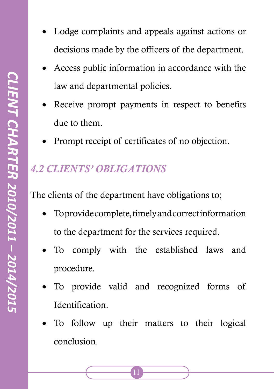- Lodge complaints and appeals against actions or decisions made by the officers of the department.
- Access public information in accordance with the law and departmental policies.
- Receive prompt payments in respect to benefits due to them.
- Prompt receipt of certificates of no objection.

# *4.2 CLIENTS' OBLIGATIONS*

The clients of the department have obligations to;

- To provide complete, timely and correct information to the department for the services required.
- To comply with the established laws and procedure.
- To provide valid and recognized forms of **Identification**
- To follow up their matters to their logical conclusion.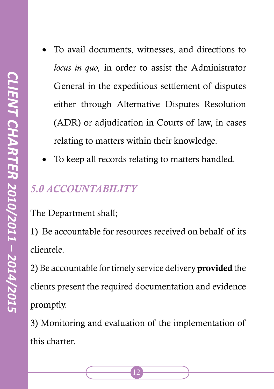- To avail documents, witnesses, and directions to *locus in quo,* in order to assist the Administrator General in the expeditious settlement of disputes either through Alternative Disputes Resolution (ADR) or adjudication in Courts of law, in cases relating to matters within their knowledge.
- To keep all records relating to matters handled.

### *5.0 ACCOUNTABILITY*

The Department shall;

1) Be accountable for resources received on behalf of its clientele.

2) Be accountable for timely service delivery provided the clients present the required documentation and evidence promptly.

3) Monitoring and evaluation of the implementation of this charter.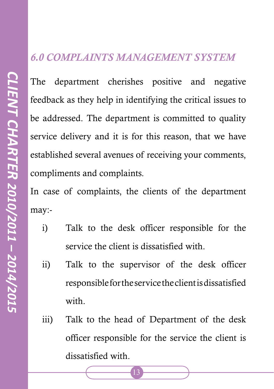#### *6.0 COMPLAINTS MANAGEMENT SYSTEM*

The department cherishes positive and negative feedback as they help in identifying the critical issues to be addressed. The department is committed to quality service delivery and it is for this reason, that we have established several avenues of receiving your comments, compliments and complaints.

In case of complaints, the clients of the department may:-

- i) Talk to the desk officer responsible for the service the client is dissatisfied with.
- ii) Talk to the supervisor of the desk officer responsible for the service the client is dissatisfied with.
- iii) Talk to the head of Department of the desk officer responsible for the service the client is dissatisfied with.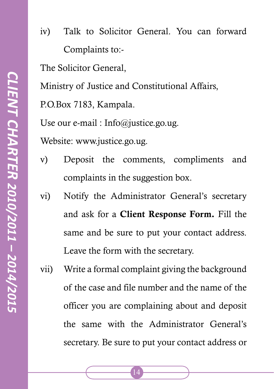iv) Talk to Solicitor General. You can forward Complaints to:-

The Solicitor General,

Ministry of Justice and Constitutional Affairs,

P.O.Box 7183, Kampala.

Use our e-mail : Info@justice.go.ug.

Website: www.justice.go.ug.

- v) Deposit the comments, compliments and complaints in the suggestion box.
- vi) Notify the Administrator General's secretary and ask for a Client Response Form. Fill the same and be sure to put your contact address. Leave the form with the secretary.
- vii) Write a formal complaint giving the background of the case and file number and the name of the officer you are complaining about and deposit the same with the Administrator General's secretary. Be sure to put your contact address or